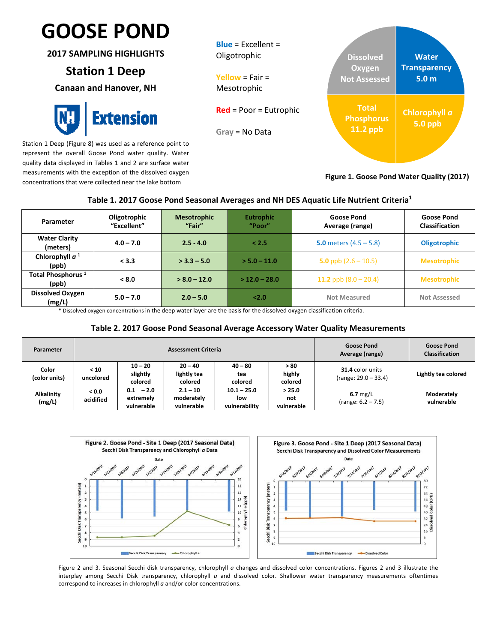## $\mathbf{r}$ **GOOSE POND**

**2017 SAMPLING HIGHLIGHTS**

### **Station 1 Deep**

**Canaan and Hanover, NH**



Station 1 Deep (Figure 8) was used as a reference point to represent the overall Goose Pond water quality. Water quality data displayed in Tables 1 and 2 are surface water measurements with the exception of the dissolved oxygen concentrations that were collected near the lake bottom



#### **Figure 1. Goose Pond Water Quality (2017)**

#### **Table 1. 2017 Goose Pond Seasonal Averages and NH DES Aquatic Life Nutrient Criteria1**

| Parameter                              | Oligotrophic<br>"Excellent" | <b>Mesotrophic</b><br>"Fair" | <b>Eutrophic</b><br>"Poor" | <b>Goose Pond</b><br>Average (range) | <b>Goose Pond</b><br><b>Classification</b> |
|----------------------------------------|-----------------------------|------------------------------|----------------------------|--------------------------------------|--------------------------------------------|
| <b>Water Clarity</b><br>(meters)       | $4.0 - 7.0$                 | $2.5 - 4.0$                  | < 2.5                      | 5.0 meters $(4.5 - 5.8)$             | <b>Oligotrophic</b>                        |
| Chlorophyll $a1$<br>(ppb)              | < 3.3                       | $>$ 3.3 – 5.0                | $> 5.0 - 11.0$             | 5.0 ppb $(2.6 - 10.5)$               | <b>Mesotrophic</b>                         |
| Total Phosphorus <sup>1</sup><br>(ppb) | < 8.0                       | $> 8.0 - 12.0$               | $>$ 12.0 – 28.0            | 11.2 ppb $(8.0 - 20.4)$              | <b>Mesotrophic</b>                         |
| <b>Dissolved Oxygen</b><br>(mg/L)      | $5.0 - 7.0$                 | $2.0 - 5.0$                  | 2.0                        | <b>Not Measured</b>                  | <b>Not Assessed</b>                        |

\* Dissolved oxygen concentrations in the deep water layer are the basis for the dissolved oxygen classification criteria.

#### **Table 2. 2017 Goose Pond Seasonal Average Accessory Water Quality Measurements**

| Parameter                   |                               |                                          | <b>Assessment Criteria</b>             | <b>Goose Pond</b><br>Average (range)  | <b>Goose Pond</b><br><b>Classification</b> |                                            |                          |
|-----------------------------|-------------------------------|------------------------------------------|----------------------------------------|---------------------------------------|--------------------------------------------|--------------------------------------------|--------------------------|
| Color<br>(color units)      | < 10<br>uncolored             | $10 - 20$<br>slightly<br>colored         | $20 - 40$<br>lightly tea<br>colored    | $40 - 80$<br>tea<br>colored           | >80<br>highly<br>colored                   | 31.4 color units<br>$(range: 29.0 - 33.4)$ | Lightly tea colored      |
| <b>Alkalinity</b><br>(mg/L) | 0.0 <sub>2</sub><br>acidified | $-2.0$<br>0.1<br>extremely<br>vulnerable | $2.1 - 10$<br>moderately<br>vulnerable | $10.1 - 25.0$<br>low<br>vulnerability | > 25.0<br>not<br>vulnerable                | $6.7$ mg/L<br>$(range: 6.2 - 7.5)$         | Moderately<br>vulnerable |



Figure 2 and 3. Seasonal Secchi disk transparency, chlorophyll *a* changes and dissolved color concentrations. Figures 2 and 3 illustrate the interplay among Secchi Disk transparency, chlorophyll *a* and dissolved color. Shallower water transparency measurements oftentimes correspond to increases in chlorophyll *a* and/or color concentrations.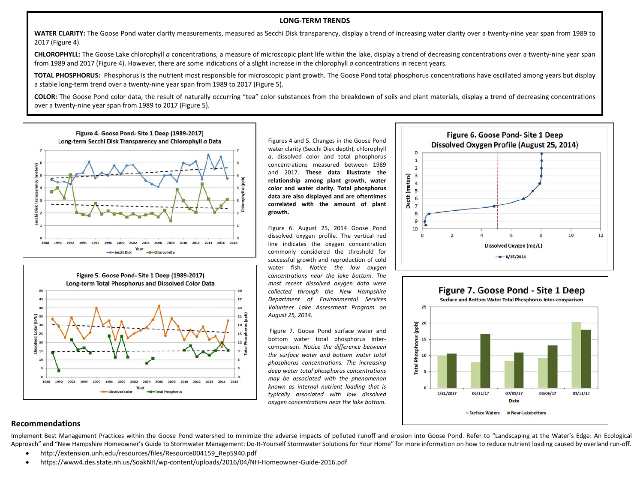#### **LONG‐TERM TRENDS**

**WATER CLARITY:** The Goose Pond water clarity measurements, measured as Secchi Disk transparency, display <sup>a</sup> trend of increasing water clarity over <sup>a</sup> twenty‐nine year span from 1989 to 2017 (Figure 4).

**CHLOROPHYLL:** The Goose Lake chlorophyll *<sup>a</sup>* concentrations, <sup>a</sup> measure of microscopic plant life within the lake, display <sup>a</sup> trend of decreasing concentrations over <sup>a</sup> twenty‐nine year span from 1989 and 2017 (Figure 4). However, there are some indications of <sup>a</sup> slight increase in the chlorophyll *<sup>a</sup>* concentrations in recent years.

**TOTAL PHOSPHORUS:** Phosphorus is the nutrient most responsible for microscopic plant growth. The Goose Pond total phosphorus concentrations have oscillated among years but display a stable long‐term trend over <sup>a</sup> twenty‐nine year span from 1989 to 2017 (Figure 5).

**COLOR:** The Goose Pond color data, the result of naturally occurring "tea" color substances from the breakdown of soils and plant materials, display <sup>a</sup> trend of decreasing concentrations over a twenty‐nine year span from 1989 to 2017 (Figure 5).





Figures 4 and 5. Changes in the Goose Pond water clarity (Secchi Disk depth), chlorophyll *<sup>a</sup>*, dissolved color and total phosphorus concentrations measured between 1989 and 2017. **These data illustrate the relationship among plant growth, water color and water clarity. Total phosphorus data are also displayed and are oftentimes correlated with the amount of plant growth.**

Figure 6. August 25, 2014 Goose Pond dissolved oxygen profile. The vertical red line indicates the oxygen concentration commonly considered the threshold for successful growth and reproduction of cold water fish. *Notice the low oxygen concentrations near the lake bottom. The most recent dissolved oxygen data were collected through the New Hampshire Department of Environmental Services Volunteer Lake Assessment Program on August 25, 2014.*

Figure 7. Goose Pond surface water and bottom water total phosphorus inter‐ comparison. *Notice the difference between the surface water and bottom water total phosphorus concentrations. The increasing deep water total phosphorus concentrations may be associated with the phenomenon known as internal nutrient loading that is typically associated with low dissolved oxygen concentrations near the lake bottom.*





#### **Recommendations**

Implement Best Management Practices within the Goose Pond watershed to minimize the adverse impacts of polluted runoff and erosion into Goose Pond. Refer to "Landscaping at the Water's Edge: An Ecological Approach" and "New Hampshire Homeowner's Guide to Stormwater Management: Do-It-Yourself Stormwater Solutions for Your Home" for more information on how to reduce nutrient loading caused by overland run-off.

- . http://extension.unh.edu/resources/files/Resource004159\_Rep5940.pdf
- $\bullet$ https://www4.des.state.nh.us/SoakNH/wp‐content/uploads/2016/04/NH‐Homeowner‐Guide‐2016.pdf